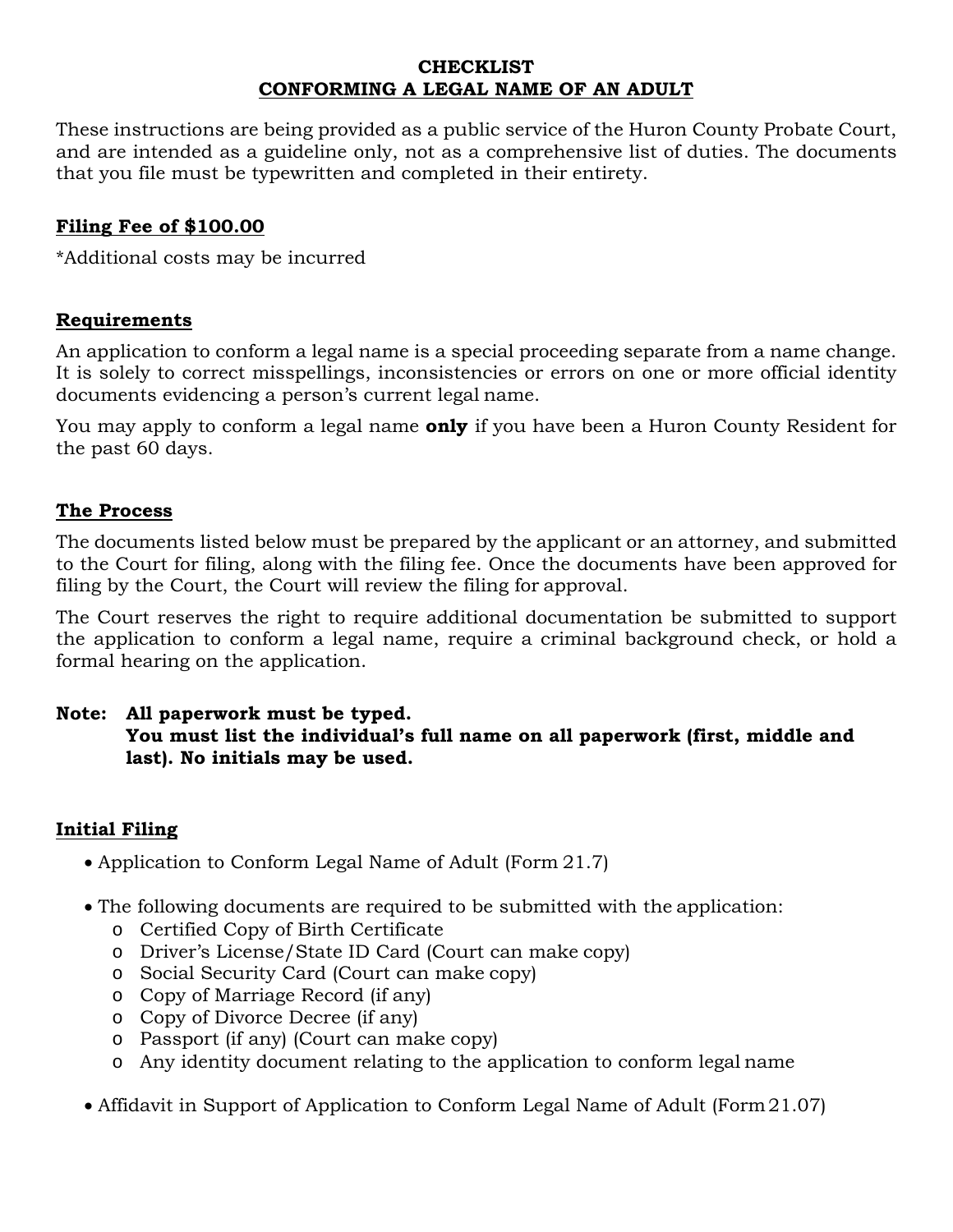### **CHECKLIST CONFORMING A LEGAL NAME OF AN ADULT**

These instructions are being provided as a public service of the Huron County Probate Court, and are intended as a guideline only, not as a comprehensive list of duties. The documents that you file must be typewritten and completed in their entirety.

# **Filing Fee of \$100.00**

\*Additional costs may be incurred

## **Requirements**

An application to conform a legal name is a special proceeding separate from a name change. It is solely to correct misspellings, inconsistencies or errors on one or more official identity documents evidencing a person's current legal name.

You may apply to conform a legal name **only** if you have been a Huron County Resident for the past 60 days.

#### **The Process**

The documents listed below must be prepared by the applicant or an attorney, and submitted to the Court for filing, along with the filing fee. Once the documents have been approved for filing by the Court, the Court will review the filing for approval.

The Court reserves the right to require additional documentation be submitted to support the application to conform a legal name, require a criminal background check, or hold a formal hearing on the application.

### **Note: All paperwork must be typed. You must list the individual's full name on all paperwork (first, middle and last). No initials may be used.**

## **Initial Filing**

- Application to Conform Legal Name of Adult (Form 21.7)
- The following documents are required to be submitted with the application:
	- o Certified Copy of Birth Certificate
	- o Driver's License/State ID Card (Court can make copy)
	- o Social Security Card (Court can make copy)
	- o Copy of Marriage Record (if any)
	- o Copy of Divorce Decree (if any)
	- o Passport (if any) (Court can make copy)
	- o Any identity document relating to the application to conform legal name
- Affidavit in Support of Application to Conform Legal Name of Adult (Form 21.07)